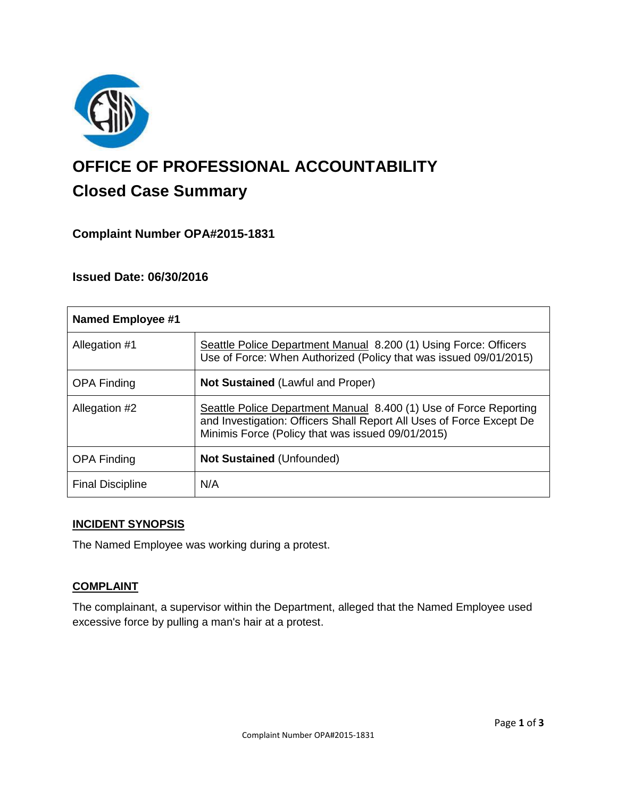

# **OFFICE OF PROFESSIONAL ACCOUNTABILITY Closed Case Summary**

# **Complaint Number OPA#2015-1831**

## **Issued Date: 06/30/2016**

| <b>Named Employee #1</b> |                                                                                                                                                                                                |
|--------------------------|------------------------------------------------------------------------------------------------------------------------------------------------------------------------------------------------|
| Allegation #1            | Seattle Police Department Manual 8.200 (1) Using Force: Officers<br>Use of Force: When Authorized (Policy that was issued 09/01/2015)                                                          |
| <b>OPA Finding</b>       | <b>Not Sustained (Lawful and Proper)</b>                                                                                                                                                       |
| Allegation #2            | Seattle Police Department Manual 8.400 (1) Use of Force Reporting<br>and Investigation: Officers Shall Report All Uses of Force Except De<br>Minimis Force (Policy that was issued 09/01/2015) |
| <b>OPA Finding</b>       | <b>Not Sustained (Unfounded)</b>                                                                                                                                                               |
| <b>Final Discipline</b>  | N/A                                                                                                                                                                                            |

#### **INCIDENT SYNOPSIS**

The Named Employee was working during a protest.

#### **COMPLAINT**

The complainant, a supervisor within the Department, alleged that the Named Employee used excessive force by pulling a man's hair at a protest.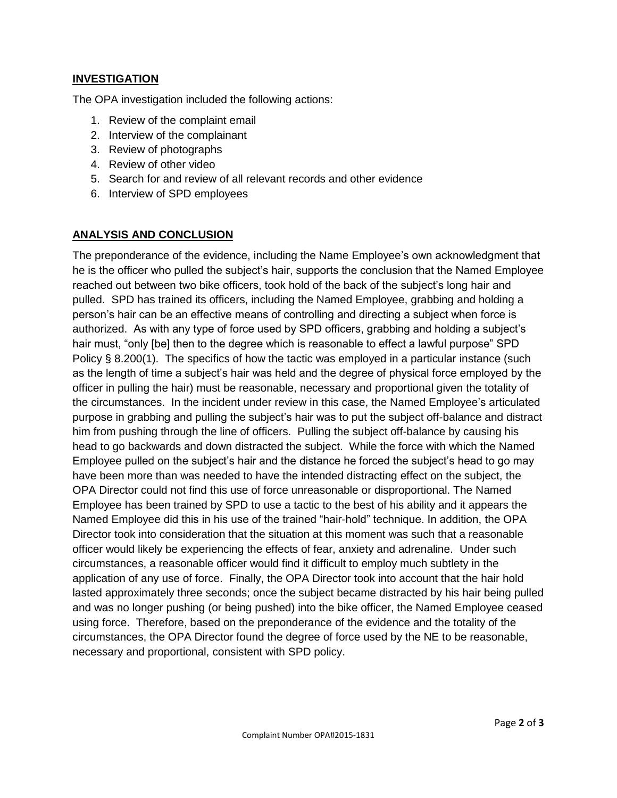## **INVESTIGATION**

The OPA investigation included the following actions:

- 1. Review of the complaint email
- 2. Interview of the complainant
- 3. Review of photographs
- 4. Review of other video
- 5. Search for and review of all relevant records and other evidence
- 6. Interview of SPD employees

#### **ANALYSIS AND CONCLUSION**

The preponderance of the evidence, including the Name Employee's own acknowledgment that he is the officer who pulled the subject's hair, supports the conclusion that the Named Employee reached out between two bike officers, took hold of the back of the subject's long hair and pulled. SPD has trained its officers, including the Named Employee, grabbing and holding a person's hair can be an effective means of controlling and directing a subject when force is authorized. As with any type of force used by SPD officers, grabbing and holding a subject's hair must, "only [be] then to the degree which is reasonable to effect a lawful purpose" SPD Policy § 8.200(1). The specifics of how the tactic was employed in a particular instance (such as the length of time a subject's hair was held and the degree of physical force employed by the officer in pulling the hair) must be reasonable, necessary and proportional given the totality of the circumstances. In the incident under review in this case, the Named Employee's articulated purpose in grabbing and pulling the subject's hair was to put the subject off-balance and distract him from pushing through the line of officers. Pulling the subject off-balance by causing his head to go backwards and down distracted the subject. While the force with which the Named Employee pulled on the subject's hair and the distance he forced the subject's head to go may have been more than was needed to have the intended distracting effect on the subject, the OPA Director could not find this use of force unreasonable or disproportional. The Named Employee has been trained by SPD to use a tactic to the best of his ability and it appears the Named Employee did this in his use of the trained "hair-hold" technique. In addition, the OPA Director took into consideration that the situation at this moment was such that a reasonable officer would likely be experiencing the effects of fear, anxiety and adrenaline. Under such circumstances, a reasonable officer would find it difficult to employ much subtlety in the application of any use of force. Finally, the OPA Director took into account that the hair hold lasted approximately three seconds; once the subject became distracted by his hair being pulled and was no longer pushing (or being pushed) into the bike officer, the Named Employee ceased using force. Therefore, based on the preponderance of the evidence and the totality of the circumstances, the OPA Director found the degree of force used by the NE to be reasonable, necessary and proportional, consistent with SPD policy.